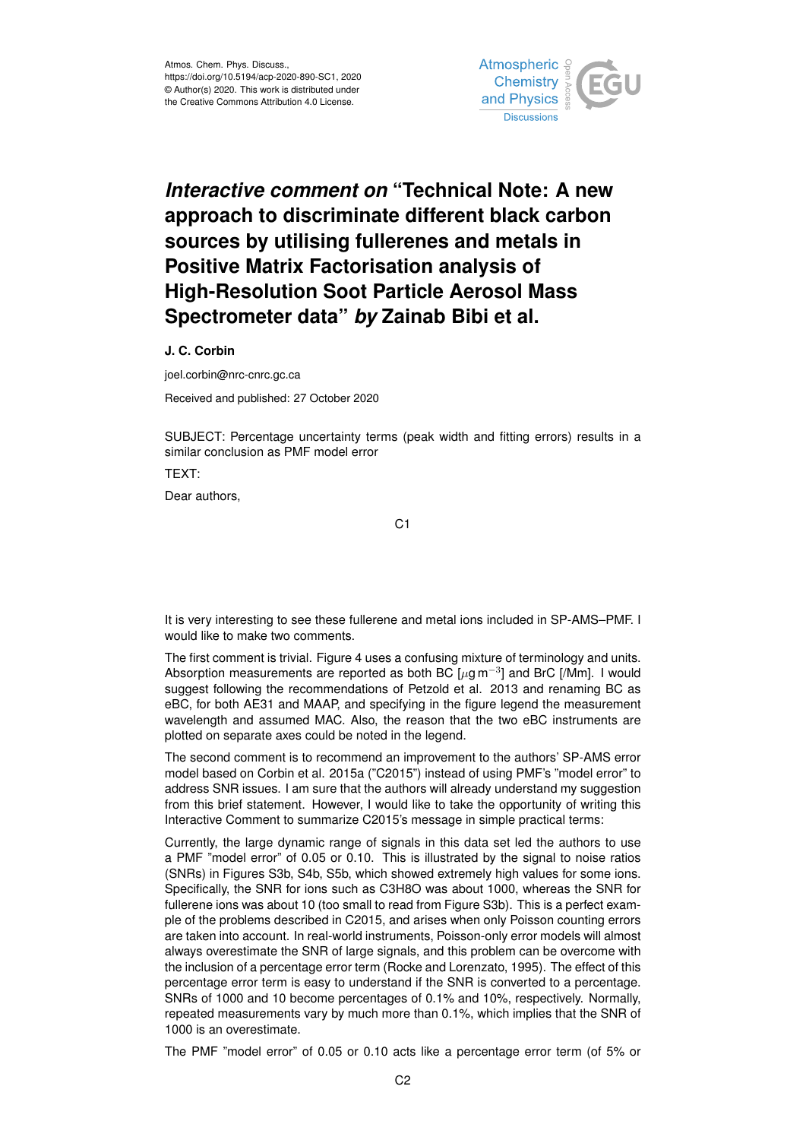

## *Interactive comment on* **"Technical Note: A new approach to discriminate different black carbon sources by utilising fullerenes and metals in Positive Matrix Factorisation analysis of High-Resolution Soot Particle Aerosol Mass Spectrometer data"** *by* **Zainab Bibi et al.**

**J. C. Corbin**

joel.corbin@nrc-cnrc.gc.ca

Received and published: 27 October 2020

SUBJECT: Percentage uncertainty terms (peak width and fitting errors) results in a similar conclusion as PMF model error

TEXT: Dear authors,

C1

It is very interesting to see these fullerene and metal ions included in SP-AMS–PMF. I would like to make two comments.

The first comment is trivial. Figure 4 uses a confusing mixture of terminology and units. Absorption measurements are reported as both BC  $[\mu$ g m<sup>-3</sup>] and BrC [/Mm]. I would suggest following the recommendations of Petzold et al. 2013 and renaming BC as eBC, for both AE31 and MAAP, and specifying in the figure legend the measurement wavelength and assumed MAC. Also, the reason that the two eBC instruments are plotted on separate axes could be noted in the legend.

The second comment is to recommend an improvement to the authors' SP-AMS error model based on Corbin et al. 2015a ("C2015") instead of using PMF's "model error" to address SNR issues. I am sure that the authors will already understand my suggestion from this brief statement. However, I would like to take the opportunity of writing this Interactive Comment to summarize C2015's message in simple practical terms:

Currently, the large dynamic range of signals in this data set led the authors to use a PMF "model error" of 0.05 or 0.10. This is illustrated by the signal to noise ratios (SNRs) in Figures S3b, S4b, S5b, which showed extremely high values for some ions. Specifically, the SNR for ions such as C3H8O was about 1000, whereas the SNR for fullerene ions was about 10 (too small to read from Figure S3b). This is a perfect example of the problems described in C2015, and arises when only Poisson counting errors are taken into account. In real-world instruments, Poisson-only error models will almost always overestimate the SNR of large signals, and this problem can be overcome with the inclusion of a percentage error term (Rocke and Lorenzato, 1995). The effect of this percentage error term is easy to understand if the SNR is converted to a percentage. SNRs of 1000 and 10 become percentages of 0.1% and 10%, respectively. Normally, repeated measurements vary by much more than 0.1%, which implies that the SNR of 1000 is an overestimate.

The PMF "model error" of 0.05 or 0.10 acts like a percentage error term (of 5% or